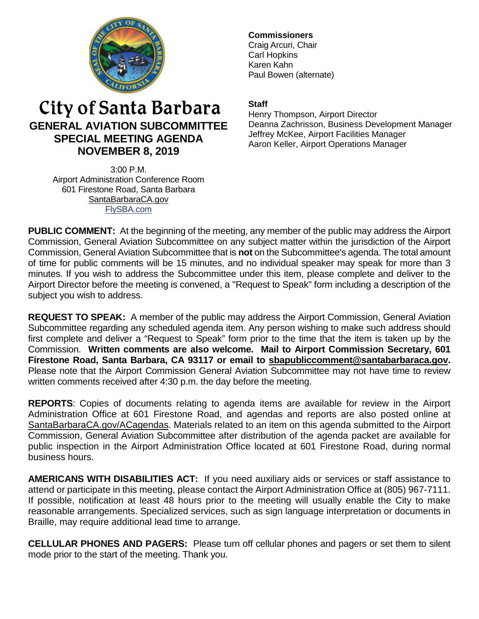

# City of Santa Barbara **GENERAL AVIATION SUBCOMMITTEE SPECIAL MEETING AGENDA NOVEMBER 8, 2019**

3:00 P.M. Airport Administration Conference Room 601 Firestone Road, Santa Barbara [SantaBarbaraCA.gov](http://www.santabarbaraca.gov/) [FlySBA.com](http://www.santabarbaraca.gov/gov/depts/flysba/default.asp?utm_source=FlySBA&utm_medium=Redirect&utm_campaign=ReferralTracking)

# **Commissioners**

Craig Arcuri, Chair Carl Hopkins Karen Kahn Paul Bowen (alternate)

## **Staff**

Henry Thompson, Airport Director Deanna Zachrisson, Business Development Manager Jeffrey McKee, Airport Facilities Manager Aaron Keller, Airport Operations Manager

**PUBLIC COMMENT:** At the beginning of the meeting, any member of the public may address the Airport Commission, General Aviation Subcommittee on any subject matter within the jurisdiction of the Airport Commission, General Aviation Subcommittee that is **not** on the Subcommittee's agenda. The total amount of time for public comments will be 15 minutes, and no individual speaker may speak for more than 3 minutes. If you wish to address the Subcommittee under this item, please complete and deliver to the Airport Director before the meeting is convened, a "Request to Speak" form including a description of the subject you wish to address.

**REQUEST TO SPEAK:** A member of the public may address the Airport Commission, General Aviation Subcommittee regarding any scheduled agenda item. Any person wishing to make such address should first complete and deliver a "Request to Speak" form prior to the time that the item is taken up by the Commission. **Written comments are also welcome. Mail to Airport Commission Secretary, 601 Firestone Road, Santa Barbara, CA 93117 or email to [sbapubliccomment@santabarbaraca.gov.](mailto:sbapubliccomment@santabarbaraca.gov)** Please note that the Airport Commission General Aviation Subcommittee may not have time to review written comments received after 4:30 p.m. the day before the meeting.

**REPORTS**: Copies of documents relating to agenda items are available for review in the Airport Administration Office at 601 Firestone Road, and agendas and reports are also posted online at [SantaBarbaraCA.gov/ACagendas.](http://www.santabarbaraca.gov/gov/brdcomm/ac/airport/agendas.asp) Materials related to an item on this agenda submitted to the Airport Commission, General Aviation Subcommittee after distribution of the agenda packet are available for public inspection in the Airport Administration Office located at 601 Firestone Road, during normal business hours.

**AMERICANS WITH DISABILITIES ACT:** If you need auxiliary aids or services or staff assistance to attend or participate in this meeting, please contact the Airport Administration Office at (805) 967-7111. If possible, notification at least 48 hours prior to the meeting will usually enable the City to make reasonable arrangements. Specialized services, such as sign language interpretation or documents in Braille, may require additional lead time to arrange.

**CELLULAR PHONES AND PAGERS:** Please turn off cellular phones and pagers or set them to silent mode prior to the start of the meeting. Thank you.